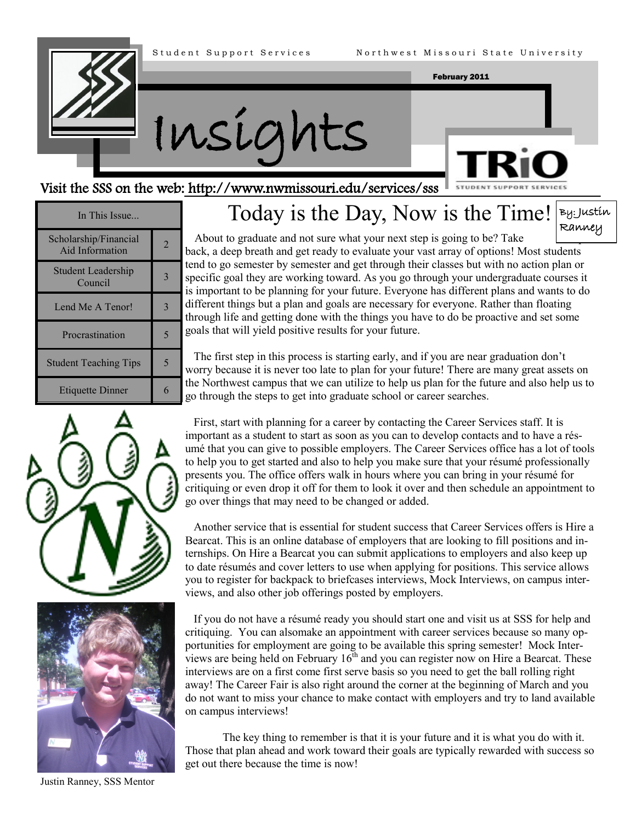



### Visit the SSS on the web: http://www.nwn

| nissouri.edu/services/sss Favoral STUPPORT SERVICES |  |  |
|-----------------------------------------------------|--|--|
| is the Day, Now is the Time! By: Justin             |  |  |

In This Issue... Scholarship/Financial  $\begin{array}{c|c}\n\text{Aid Information} & 2\n\end{array}$ Student Leadership  $\frac{1}{2}$  Council  $\frac{3}{2}$ Lend Me A Tenor! 3 Procrastination 5 Student Teaching Tips | 5 Etiquette Dinner 6





Today Ranney

About to graduate and not sure what your next step is going to be? Take back, a deep breath and get ready to evaluate your vast array of options! Most students tend to go semester by semester and get through their classes but with no action plan or specific goal they are working toward. As you go through your undergraduate courses it is important to be planning for your future. Everyone has different plans and wants to do different things but a plan and goals are necessary for everyone. Rather than floating through life and getting done with the things you have to do be proactive and set some goals that will yield positive results for your future.

 The first step in this process is starting early, and if you are near graduation don't worry because it is never too late to plan for your future! There are many great assets on the Northwest campus that we can utilize to help us plan for the future and also help us to go through the steps to get into graduate school or career searches.

 First, start with planning for a career by contacting the Career Services staff. It is important as a student to start as soon as you can to develop contacts and to have a résumé that you can give to possible employers. The Career Services office has a lot of tools to help you to get started and also to help you make sure that your résumé professionally presents you. The office offers walk in hours where you can bring in your résumé for critiquing or even drop it off for them to look it over and then schedule an appointment to go over things that may need to be changed or added.

 Another service that is essential for student success that Career Services offers is Hire a Bearcat. This is an online database of employers that are looking to fill positions and internships. On Hire a Bearcat you can submit applications to employers and also keep up to date résumés and cover letters to use when applying for positions. This service allows you to register for backpack to briefcases interviews, Mock Interviews, on campus interviews, and also other job offerings posted by employers.

 If you do not have a résumé ready you should start one and visit us at SSS for help and critiquing. You can alsomake an appointment with career services because so many opportunities for employment are going to be available this spring semester! Mock Interviews are being held on February  $16<sup>th</sup>$  and you can register now on Hire a Bearcat. These interviews are on a first come first serve basis so you need to get the ball rolling right away! The Career Fair is also right around the corner at the beginning of March and you do not want to miss your chance to make contact with employers and try to land available on campus interviews!

 The key thing to remember is that it is your future and it is what you do with it. Those that plan ahead and work toward their goals are typically rewarded with success so get out there because the time is now!

Justin Ranney, SSS Mentor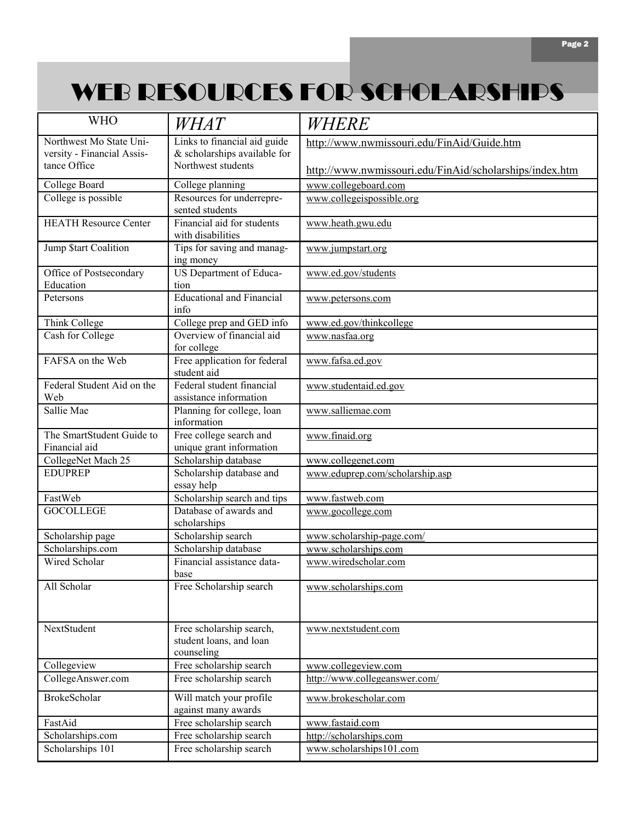## WEB RESOURCES FOR SCHOLARSHIPS

| <b>WHO</b>                        | <i>WHAT</i>                                                       | WHERE                                                   |  |
|-----------------------------------|-------------------------------------------------------------------|---------------------------------------------------------|--|
| Northwest Mo State Uni-           | Links to financial aid guide                                      | http://www.nwmissouri.edu/FinAid/Guide.htm              |  |
| versity - Financial Assis-        | & scholarships available for                                      |                                                         |  |
| tance Office                      | Northwest students                                                | http://www.nwmissouri.edu/FinAid/scholarships/index.htm |  |
| College Board                     | College planning                                                  | www.collegeboard.com                                    |  |
| College is possible               | Resources for underrepre-<br>sented students                      | www.collegeispossible.org                               |  |
| <b>HEATH Resource Center</b>      | Financial aid for students<br>with disabilities                   | www.heath.gwu.edu                                       |  |
| Jump \$tart Coalition             | Tips for saving and manag-<br>ing money                           | www.jumpstart.org                                       |  |
| Office of Postsecondary           | US Department of Educa-                                           | www.ed.gov/students                                     |  |
| Education                         | tion                                                              |                                                         |  |
| Petersons                         | <b>Educational and Financial</b><br>info                          | www.petersons.com                                       |  |
| Think College                     | College prep and GED info                                         | www.ed.gov/thinkcollege                                 |  |
| Cash for College                  | Overview of financial aid<br>for college                          | www.nasfaa.org                                          |  |
| FAFSA on the Web                  | Free application for federal<br>student aid                       | www.fafsa.ed.gov                                        |  |
| Federal Student Aid on the<br>Web | Federal student financial<br>assistance information               | www.studentaid.ed.gov                                   |  |
| Sallie Mae                        | Planning for college, loan<br>information                         | www.salliemae.com                                       |  |
| The SmartStudent Guide to         | Free college search and                                           | www.finaid.org                                          |  |
| Financial aid                     | unique grant information                                          |                                                         |  |
| CollegeNet Mach 25                | Scholarship database                                              | www.collegenet.com                                      |  |
| <b>EDUPREP</b>                    | Scholarship database and<br>essay help                            | www.eduprep.com/scholarship.asp                         |  |
| FastWeb                           | Scholarship search and tips                                       | www.fastweb.com                                         |  |
| <b>GOCOLLEGE</b>                  | Database of awards and<br>scholarships                            | www.gocollege.com                                       |  |
| Scholarship page                  | Scholarship search                                                | www.scholarship-page.com/                               |  |
| Scholarships.com                  | Scholarship database                                              | www.scholarships.com                                    |  |
| Wired Scholar                     | Financial assistance data-<br>base                                | www.wiredscholar.com                                    |  |
| All Scholar                       | Free Scholarship search                                           | www.scholarships.com                                    |  |
| NextStudent                       | Free scholarship search,<br>student loans, and loan<br>counseling | www.nextstudent.com                                     |  |
| Collegeview                       | Free scholarship search                                           | www.collegeview.com                                     |  |
| CollegeAnswer.com                 | Free scholarship search                                           | http://www.collegeanswer.com/                           |  |
| <b>BrokeScholar</b>               | Will match your profile<br>against many awards                    | www.brokescholar.com                                    |  |
| FastAid                           | Free scholarship search                                           | www.fastaid.com                                         |  |
| Scholarships.com                  | Free scholarship search                                           | http://scholarships.com                                 |  |
| Scholarships 101                  | Free scholarship search                                           | www.scholarships101.com                                 |  |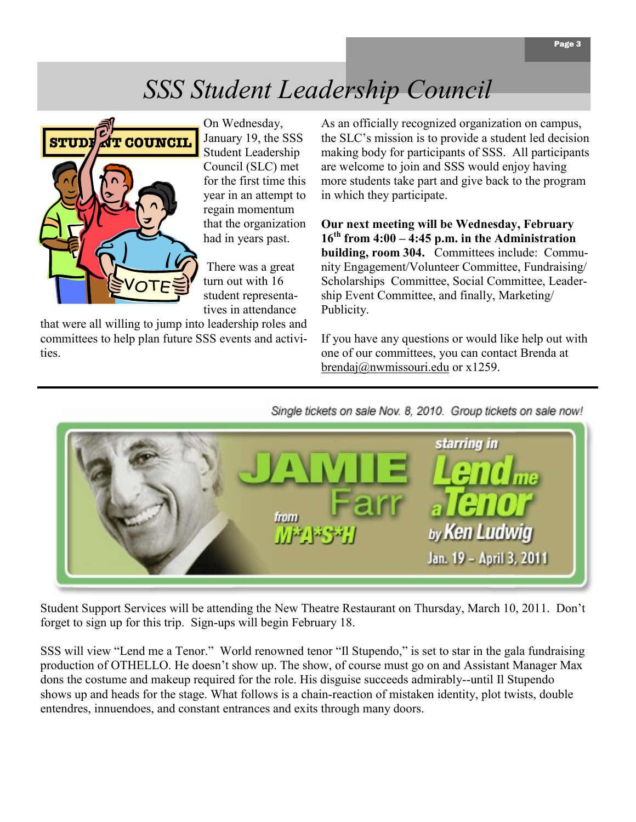## *SSS Student Leadership Council*



On Wednesday, January 19, the SSS Student Leadership Council (SLC) met for the first time this year in an attempt to regain momentum that the organization had in years past.

There was a great turn out with 16 student representatives in attendance

that were all willing to jump into leadership roles and committees to help plan future SSS events and activities.

As an officially recognized organization on campus, the SLC's mission is to provide a student led decision making body for participants of SSS. All participants are welcome to join and SSS would enjoy having more students take part and give back to the program in which they participate.

**Our next meeting will be Wednesday, February 16th from 4:00 – 4:45 p.m. in the Administration building, room 304.** Committees include: Community Engagement/Volunteer Committee, Fundraising/ Scholarships Committee, Social Committee, Leadership Event Committee, and finally, Marketing/ Publicity.

If you have any questions or would like help out with one of our committees, you can contact Brenda at [brendaj@nwmissouri.edu](mailto:brendaj@nwmissouri.edu) or x1259.

Single tickets on sale Nov. 8, 2010. Group tickets on sale now!



Student Support Services will be attending the New Theatre Restaurant on Thursday, March 10, 2011. Don't forget to sign up for this trip. Sign-ups will begin February 18.

SSS will view "Lend me a Tenor." World renowned tenor "Il Stupendo," is set to star in the gala fundraising production of OTHELLO. He doesn't show up. The show, of course must go on and Assistant Manager Max dons the costume and makeup required for the role. His disguise succeeds admirably--until Il Stupendo shows up and heads for the stage. What follows is a chain-reaction of mistaken identity, plot twists, double entendres, innuendoes, and constant entrances and exits through many doors.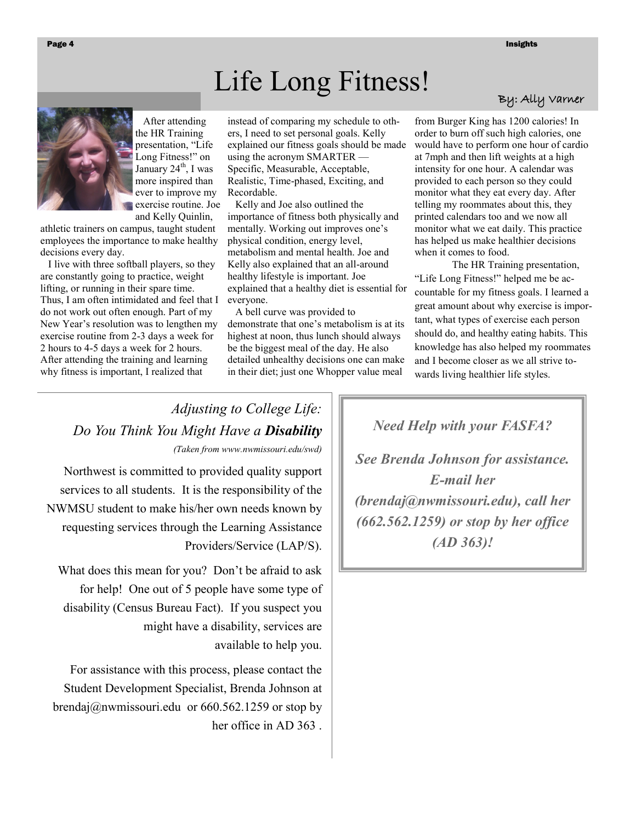# Life Long Fitness!



 After attending the HR Training presentation, "Life" Long Fitness!" on January  $24<sup>th</sup>$ , I was more inspired than ever to improve my exercise routine. Joe and Kelly Quinlin,

athletic trainers on campus, taught student employees the importance to make healthy decisions every day.

 I live with three softball players, so they are constantly going to practice, weight lifting, or running in their spare time. Thus, I am often intimidated and feel that I do not work out often enough. Part of my New Year's resolution was to lengthen my exercise routine from 2-3 days a week for 2 hours to 4-5 days a week for 2 hours. After attending the training and learning why fitness is important, I realized that

instead of comparing my schedule to others, I need to set personal goals. Kelly explained our fitness goals should be made using the acronym SMARTER — Specific, Measurable, Acceptable, Realistic, Time-phased, Exciting, and Recordable.

 Kelly and Joe also outlined the importance of fitness both physically and mentally. Working out improves one's physical condition, energy level, metabolism and mental health. Joe and Kelly also explained that an all-around healthy lifestyle is important. Joe explained that a healthy diet is essential for everyone.

 A bell curve was provided to demonstrate that one's metabolism is at its highest at noon, thus lunch should always be the biggest meal of the day. He also detailed unhealthy decisions one can make in their diet; just one Whopper value meal

### By: Ally Varner

from Burger King has 1200 calories! In order to burn off such high calories, one would have to perform one hour of cardio at 7mph and then lift weights at a high intensity for one hour. A calendar was provided to each person so they could monitor what they eat every day. After telling my roommates about this, they printed calendars too and we now all monitor what we eat daily. This practice has helped us make healthier decisions when it comes to food.

The HR Training presentation, ―Life Long Fitness!‖ helped me be accountable for my fitness goals. I learned a great amount about why exercise is important, what types of exercise each person should do, and healthy eating habits. This knowledge has also helped my roommates and I become closer as we all strive towards living healthier life styles.

*Adjusting to College Life: Do You Think You Might Have a Disability (Taken from www.nwmissouri.edu/swd)*

Northwest is committed to provided quality support services to all students. It is the responsibility of the NWMSU student to make his/her own needs known by requesting services through the Learning Assistance Providers/Service (LAP/S).

What does this mean for you? Don't be afraid to ask for help! One out of 5 people have some type of disability (Census Bureau Fact). If you suspect you might have a disability, services are available to help you.

For assistance with this process, please contact the Student Development Specialist, Brenda Johnson at brendaj@nwmissouri.edu or 660.562.1259 or stop by her office in AD 363 . *Need Help with your FASFA?*

*See Brenda Johnson for assistance. E-mail her (brendaj@nwmissouri.edu), call her (662.562.1259) or stop by her office (AD 363)!*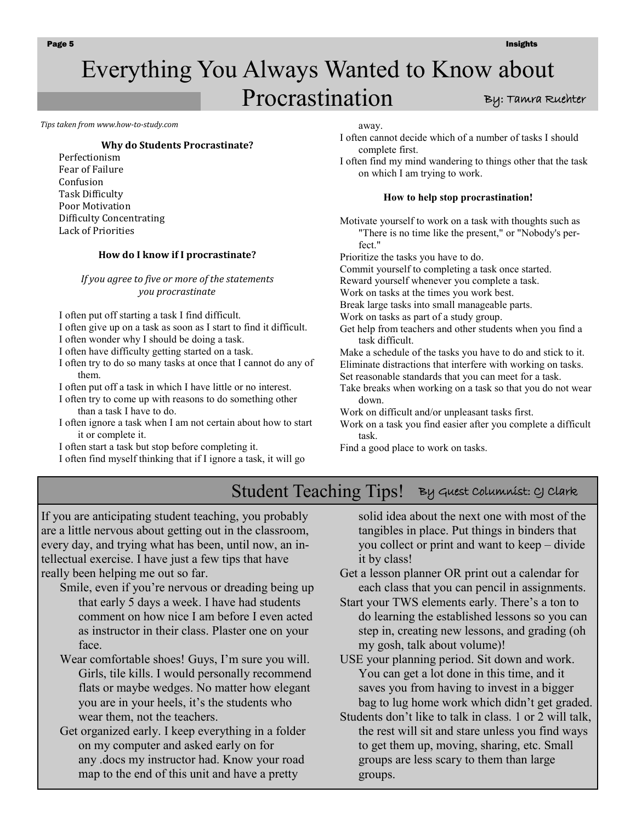### By: Tamra Ruehter Everything You Always Wanted to Know about Procrastination

*Tips taken from www.how-to-study.com* 

#### **Why do Students Procrastinate?**

Perfectionism Fear of Failure Confusion Task Difficulty Poor Motivation Difficulty Concentrating Lack of Priorities

#### **How do I know if I procrastinate?**

*If you agree to five or more of the statements you procrastinate*

I often put off starting a task I find difficult.

I often give up on a task as soon as I start to find it difficult.

I often wonder why I should be doing a task.

I often have difficulty getting started on a task.

I often try to do so many tasks at once that I cannot do any of them.

I often put off a task in which I have little or no interest.

I often try to come up with reasons to do something other than a task I have to do.

I often ignore a task when I am not certain about how to start it or complete it.

I often start a task but stop before completing it.

I often find myself thinking that if I ignore a task, it will go

away.

I often cannot decide which of a number of tasks I should complete first.

I often find my mind wandering to things other that the task on which I am trying to work.

#### **How to help stop procrastination!**

Motivate yourself to work on a task with thoughts such as "There is no time like the present," or "Nobody's perfect."

Prioritize the tasks you have to do.

Commit yourself to completing a task once started.

Reward yourself whenever you complete a task.

Work on tasks at the times you work best.

Break large tasks into small manageable parts.

Work on tasks as part of a study group.

Get help from teachers and other students when you find a task difficult.

Make a schedule of the tasks you have to do and stick to it. Eliminate distractions that interfere with working on tasks. Set reasonable standards that you can meet for a task.

Take breaks when working on a task so that you do not wear down.

Work on difficult and/or unpleasant tasks first.

Work on a task you find easier after you complete a difficult task.

Find a [good place to work](http://www.how-to-study.com/study-skills/en/studying/35/preparing-to-study-a-good-study-place/) on tasks.

## Student Teaching Tips! By Guest Columnist: CJ Clark

If you are anticipating student teaching, you probably are a little nervous about getting out in the classroom, every day, and trying what has been, until now, an intellectual exercise. I have just a few tips that have really been helping me out so far.

Smile, even if you're nervous or dreading being up that early 5 days a week. I have had students comment on how nice I am before I even acted as instructor in their class. Plaster one on your face.

- Wear comfortable shoes! Guys, I'm sure you will. Girls, tile kills. I would personally recommend flats or maybe wedges. No matter how elegant you are in your heels, it's the students who wear them, not the teachers.
- Get organized early. I keep everything in a folder on my computer and asked early on for any .docs my instructor had. Know your road map to the end of this unit and have a pretty

solid idea about the next one with most of the tangibles in place. Put things in binders that you collect or print and want to keep – divide it by class!

- Get a lesson planner OR print out a calendar for each class that you can pencil in assignments.
- Start your TWS elements early. There's a ton to do learning the established lessons so you can step in, creating new lessons, and grading (oh my gosh, talk about volume)!

USE your planning period. Sit down and work. You can get a lot done in this time, and it saves you from having to invest in a bigger bag to lug home work which didn't get graded.

Students don't like to talk in class. 1 or 2 will talk, the rest will sit and stare unless you find ways to get them up, moving, sharing, etc. Small groups are less scary to them than large groups.